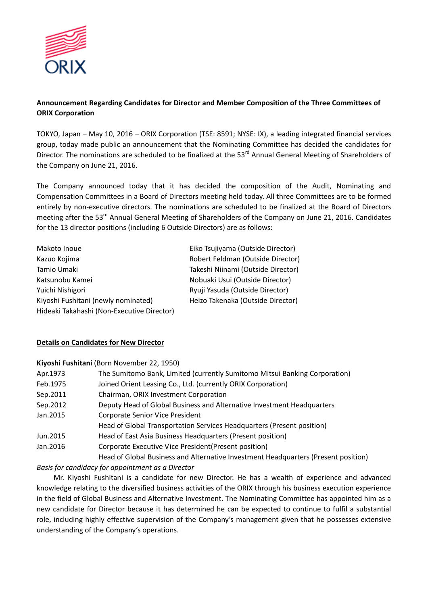

# **Announcement Regarding Candidates for Director and Member Composition of the Three Committees of ORIX Corporation**

TOKYO, Japan – May 10, 2016 – ORIX Corporation (TSE: 8591; NYSE: IX), a leading integrated financial services group, today made public an announcement that the Nominating Committee has decided the candidates for Director. The nominations are scheduled to be finalized at the 53<sup>rd</sup> Annual General Meeting of Shareholders of the Company on June 21, 2016.

The Company announced today that it has decided the composition of the Audit, Nominating and Compensation Committees in a Board of Directors meeting held today. All three Committees are to be formed entirely by non-executive directors. The nominations are scheduled to be finalized at the Board of Directors meeting after the 53<sup>rd</sup> Annual General Meeting of Shareholders of the Company on June 21, 2016. Candidates for the 13 director positions (including 6 Outside Directors) are as follows:

| Makoto Inoue                               | Eiko Tsujiyama (Outside Director)  |
|--------------------------------------------|------------------------------------|
| Kazuo Kojima                               | Robert Feldman (Outside Director)  |
| Tamio Umaki                                | Takeshi Niinami (Outside Director) |
| Katsunobu Kamei                            | Nobuaki Usui (Outside Director)    |
| Yuichi Nishigori                           | Ryuji Yasuda (Outside Director)    |
| Kiyoshi Fushitani (newly nominated)        | Heizo Takenaka (Outside Director)  |
| Hideaki Takahashi (Non-Executive Director) |                                    |

### **Details on Candidates for New Director**

**Kiyoshi Fushitani** (Born November 22, 1950)

| Apr. 1973 | The Sumitomo Bank, Limited (currently Sumitomo Mitsui Banking Corporation)         |
|-----------|------------------------------------------------------------------------------------|
| Feb.1975  | Joined Orient Leasing Co., Ltd. (currently ORIX Corporation)                       |
| Sep.2011  | Chairman, ORIX Investment Corporation                                              |
| Sep.2012  | Deputy Head of Global Business and Alternative Investment Headquarters             |
| Jan. 2015 | <b>Corporate Senior Vice President</b>                                             |
|           | Head of Global Transportation Services Headquarters (Present position)             |
| Jun.2015  | Head of East Asia Business Headquarters (Present position)                         |
| Jan. 2016 | Corporate Executive Vice President (Present position)                              |
|           | Head of Global Business and Alternative Investment Headquarters (Present position) |

### *Basis for candidacy for appointment as a Director*

Mr. Kiyoshi Fushitani is a candidate for new Director. He has a wealth of experience and advanced knowledge relating to the diversified business activities of the ORIX through his business execution experience in the field of Global Business and Alternative Investment. The Nominating Committee has appointed him as a new candidate for Director because it has determined he can be expected to continue to fulfil a substantial role, including highly effective supervision of the Company's management given that he possesses extensive understanding of the Company's operations.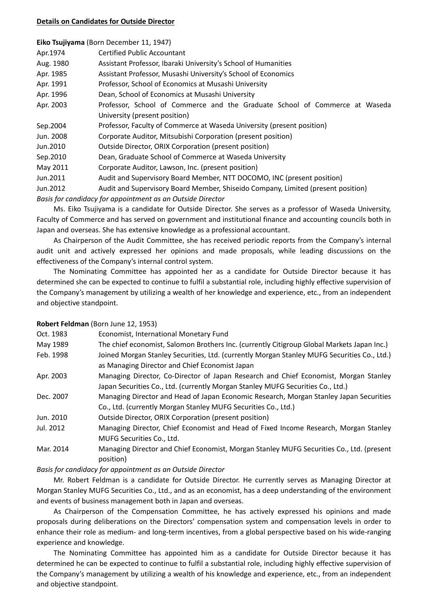#### **Details on Candidates for Outside Director**

| Eiko Tsujiyama (Born December 11, 1947) |  |  |  |  |
|-----------------------------------------|--|--|--|--|
|-----------------------------------------|--|--|--|--|

| Apr.1974  | <b>Certified Public Accountant</b>                                               |
|-----------|----------------------------------------------------------------------------------|
| Aug. 1980 | Assistant Professor, Ibaraki University's School of Humanities                   |
| Apr. 1985 | Assistant Professor, Musashi University's School of Economics                    |
| Apr. 1991 | Professor, School of Economics at Musashi University                             |
| Apr. 1996 | Dean, School of Economics at Musashi University                                  |
| Apr. 2003 | Professor, School of Commerce and the Graduate School of Commerce at Waseda      |
|           | University (present position)                                                    |
| Sep.2004  | Professor, Faculty of Commerce at Waseda University (present position)           |
| Jun. 2008 | Corporate Auditor, Mitsubishi Corporation (present position)                     |
| Jun.2010  | Outside Director, ORIX Corporation (present position)                            |
| Sep.2010  | Dean, Graduate School of Commerce at Waseda University                           |
| May 2011  | Corporate Auditor, Lawson, Inc. (present position)                               |
| Jun.2011  | Audit and Supervisory Board Member, NTT DOCOMO, INC (present position)           |
| Jun.2012  | Audit and Supervisory Board Member, Shiseido Company, Limited (present position) |
|           | Basis for candidacy for appointment as an Outside Director                       |

Ms. Eiko Tsujiyama is a candidate for Outside Director. She serves as a professor of Waseda University, Faculty of Commerce and has served on government and institutional finance and accounting councils both in Japan and overseas. She has extensive knowledge as a professional accountant.

As Chairperson of the Audit Committee, she has received periodic reports from the Company's internal audit unit and actively expressed her opinions and made proposals, while leading discussions on the effectiveness of the Company's internal control system.

The Nominating Committee has appointed her as a candidate for Outside Director because it has determined she can be expected to continue to fulfil a substantial role, including highly effective supervision of the Company's management by utilizing a wealth of her knowledge and experience, etc., from an independent and objective standpoint.

#### **Robert Feldman** (Born June 12, 1953)

| Oct. 1983 | Economist, International Monetary Fund                                                                                                                                  |
|-----------|-------------------------------------------------------------------------------------------------------------------------------------------------------------------------|
| May 1989  | The chief economist, Salomon Brothers Inc. (currently Citigroup Global Markets Japan Inc.)                                                                              |
| Feb. 1998 | Joined Morgan Stanley Securities, Ltd. (currently Morgan Stanley MUFG Securities Co., Ltd.)<br>as Managing Director and Chief Economist Japan                           |
| Apr. 2003 | Managing Director, Co-Director of Japan Research and Chief Economist, Morgan Stanley<br>Japan Securities Co., Ltd. (currently Morgan Stanley MUFG Securities Co., Ltd.) |
| Dec. 2007 | Managing Director and Head of Japan Economic Research, Morgan Stanley Japan Securities<br>Co., Ltd. (currently Morgan Stanley MUFG Securities Co., Ltd.)                |
| Jun. 2010 | Outside Director, ORIX Corporation (present position)                                                                                                                   |
| Jul. 2012 | Managing Director, Chief Economist and Head of Fixed Income Research, Morgan Stanley<br>MUFG Securities Co., Ltd.                                                       |
| Mar. 2014 | Managing Director and Chief Economist, Morgan Stanley MUFG Securities Co., Ltd. (present<br>position)                                                                   |

### *Basis for candidacy for appointment as an Outside Director*

Mr. Robert Feldman is a candidate for Outside Director. He currently serves as Managing Director at Morgan Stanley MUFG Securities Co., Ltd., and as an economist, has a deep understanding of the environment and events of business management both in Japan and overseas.

As Chairperson of the Compensation Committee, he has actively expressed his opinions and made proposals during deliberations on the Directors' compensation system and compensation levels in order to enhance their role as medium- and long-term incentives, from a global perspective based on his wide-ranging experience and knowledge.

The Nominating Committee has appointed him as a candidate for Outside Director because it has determined he can be expected to continue to fulfil a substantial role, including highly effective supervision of the Company's management by utilizing a wealth of his knowledge and experience, etc., from an independent and objective standpoint.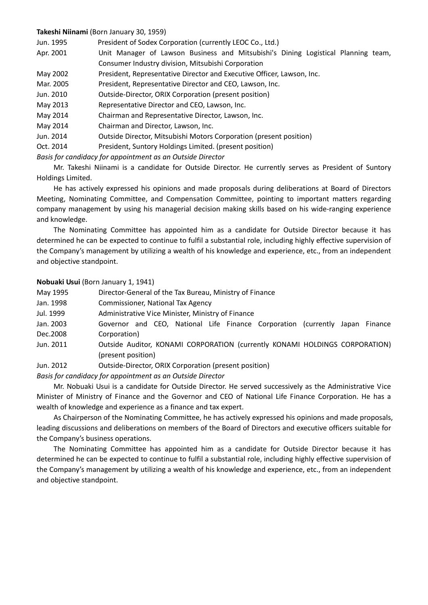### **Takeshi Niinami** (Born January 30, 1959)

| Jun. 1995 | President of Sodex Corporation (currently LEOC Co., Ltd.)                         |  |
|-----------|-----------------------------------------------------------------------------------|--|
| Apr. 2001 | Unit Manager of Lawson Business and Mitsubishi's Dining Logistical Planning team, |  |
|           | Consumer Industry division, Mitsubishi Corporation                                |  |
| May 2002  | President, Representative Director and Executive Officer, Lawson, Inc.            |  |
| Mar. 2005 | President, Representative Director and CEO, Lawson, Inc.                          |  |
| Jun. 2010 | Outside-Director, ORIX Corporation (present position)                             |  |
| May 2013  | Representative Director and CEO, Lawson, Inc.                                     |  |
| May 2014  | Chairman and Representative Director, Lawson, Inc.                                |  |
| May 2014  | Chairman and Director, Lawson, Inc.                                               |  |
| Jun. 2014 | Outside Director, Mitsubishi Motors Corporation (present position)                |  |
| Oct. 2014 | President, Suntory Holdings Limited. (present position)                           |  |
|           |                                                                                   |  |

*Basis for candidacy for appointment as an Outside Director*

Mr. Takeshi Niinami is a candidate for Outside Director. He currently serves as President of Suntory Holdings Limited.

He has actively expressed his opinions and made proposals during deliberations at Board of Directors Meeting, Nominating Committee, and Compensation Committee, pointing to important matters regarding company management by using his managerial decision making skills based on his wide-ranging experience and knowledge.

The Nominating Committee has appointed him as a candidate for Outside Director because it has determined he can be expected to continue to fulfil a substantial role, including highly effective supervision of the Company's management by utilizing a wealth of his knowledge and experience, etc., from an independent and objective standpoint.

### **Nobuaki Usui** (Born January 1, 1941)

| May 1995  | Director-General of the Tax Bureau, Ministry of Finance                      |  |
|-----------|------------------------------------------------------------------------------|--|
| Jan. 1998 | <b>Commissioner, National Tax Agency</b>                                     |  |
| Jul. 1999 | Administrative Vice Minister, Ministry of Finance                            |  |
| Jan. 2003 | Governor and CEO, National Life Finance Corporation (currently Japan Finance |  |
| Dec.2008  | Corporation)                                                                 |  |
| Jun. 2011 | Outside Auditor, KONAMI CORPORATION (currently KONAMI HOLDINGS CORPORATION)  |  |
|           | (present position)                                                           |  |
| Jun. 2012 | Outside-Director, ORIX Corporation (present position)                        |  |

*Basis for candidacy for appointment as an Outside Director*

Mr. Nobuaki Usui is a candidate for Outside Director. He served successively as the Administrative Vice Minister of Ministry of Finance and the Governor and CEO of National Life Finance Corporation. He has a wealth of knowledge and experience as a finance and tax expert.

As Chairperson of the Nominating Committee, he has actively expressed his opinions and made proposals, leading discussions and deliberations on members of the Board of Directors and executive officers suitable for the Company's business operations.

The Nominating Committee has appointed him as a candidate for Outside Director because it has determined he can be expected to continue to fulfil a substantial role, including highly effective supervision of the Company's management by utilizing a wealth of his knowledge and experience, etc., from an independent and objective standpoint.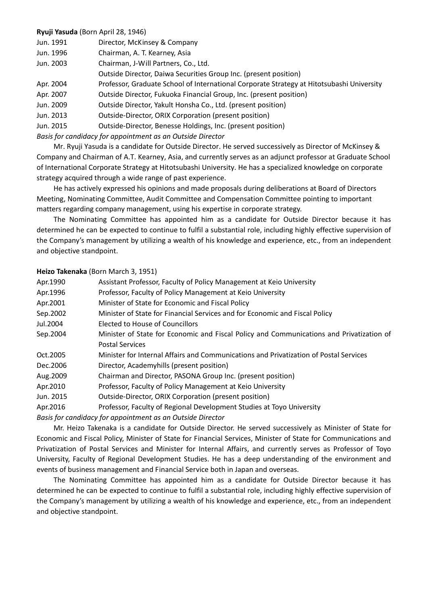## **Ryuji Yasuda** (Born April 28, 1946)

| Jun. 1991 | Director, McKinsey & Company |
|-----------|------------------------------|
|-----------|------------------------------|

Jun. 1996 Chairman, A. T. Kearney, Asia

Jun. 2003 Chairman, J-Will Partners, Co., Ltd.

Outside Director, Daiwa Securities Group Inc. (present position)

Apr. 2004 Professor, Graduate School of International Corporate Strategy at Hitotsubashi University

Apr. 2007 Outside Director, Fukuoka Financial Group, Inc. (present position)

Jun. 2009 Outside Director, Yakult Honsha Co., Ltd. (present position)

Jun. 2013 Outside-Director, ORIX Corporation (present position)

Jun. 2015 Outside-Director, Benesse Holdings, Inc. (present position)

*Basis for candidacy for appointment as an Outside Director*

Mr. Ryuji Yasuda is a candidate for Outside Director. He served successively as Director of McKinsey & Company and Chairman of A.T. Kearney, Asia, and currently serves as an adjunct professor at Graduate School of International Corporate Strategy at Hitotsubashi University. He has a specialized knowledge on corporate strategy acquired through a wide range of past experience.

He has actively expressed his opinions and made proposals during deliberations at Board of Directors Meeting, Nominating Committee, Audit Committee and Compensation Committee pointing to important matters regarding company management, using his expertise in corporate strategy.

The Nominating Committee has appointed him as a candidate for Outside Director because it has determined he can be expected to continue to fulfil a substantial role, including highly effective supervision of the Company's management by utilizing a wealth of his knowledge and experience, etc., from an independent and objective standpoint.

# **Heizo Takenaka** (Born March 3, 1951)

| Apr.1990  | Assistant Professor, Faculty of Policy Management at Keio University                     |
|-----------|------------------------------------------------------------------------------------------|
| Apr.1996  | Professor, Faculty of Policy Management at Keio University                               |
| Apr.2001  | Minister of State for Economic and Fiscal Policy                                         |
| Sep.2002  | Minister of State for Financial Services and for Economic and Fiscal Policy              |
| Jul.2004  | Elected to House of Councillors                                                          |
| Sep.2004  | Minister of State for Economic and Fiscal Policy and Communications and Privatization of |
|           | <b>Postal Services</b>                                                                   |
| Oct.2005  | Minister for Internal Affairs and Communications and Privatization of Postal Services    |
| Dec. 2006 | Director, Academyhills (present position)                                                |
| Aug. 2009 | Chairman and Director, PASONA Group Inc. (present position)                              |
| Apr.2010  | Professor, Faculty of Policy Management at Keio University                               |
| Jun. 2015 | Outside-Director, ORIX Corporation (present position)                                    |
| Apr.2016  | Professor, Faculty of Regional Development Studies at Toyo University                    |
|           |                                                                                          |

*Basis for candidacy for appointment as an Outside Director* 

Mr. Heizo Takenaka is a candidate for Outside Director. He served successively as Minister of State for Economic and Fiscal Policy, Minister of State for Financial Services, Minister of State for Communications and Privatization of Postal Services and Minister for Internal Affairs, and currently serves as Professor of Toyo University, Faculty of Regional Development Studies. He has a deep understanding of the environment and events of business management and Financial Service both in Japan and overseas.

The Nominating Committee has appointed him as a candidate for Outside Director because it has determined he can be expected to continue to fulfil a substantial role, including highly effective supervision of the Company's management by utilizing a wealth of his knowledge and experience, etc., from an independent and objective standpoint.